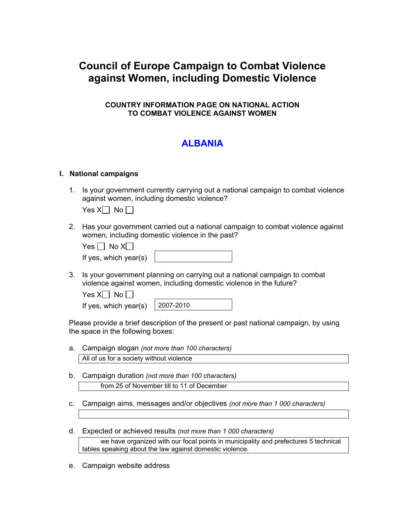# **Council of Europe Campaign to Combat Violence against Women, including Domestic Violence**

### **COUNTRY INFORMATION PAGE ON NATIONAL ACTION TO COMBAT VIOLENCE AGAINST WOMEN**

# **ALBANIA**

#### **I. National campaigns**

1. Is your government currently carrying out a national campaign to combat violence against women, including domestic violence?

Yes  $X \cap N$ o  $\cap$ 

2. Has your government carried out a national campaign to combat violence against women, including domestic violence in the past?

| . es | No Xl |
|------|-------|
|------|-------|

| If yes, which year(s) |  |
|-----------------------|--|
|-----------------------|--|

3. Is your government planning on carrying out a national campaign to combat violence against women, including domestic violence in the future?

| Yes $X \cup N$ o $\Box$ |  |  |
|-------------------------|--|--|
|-------------------------|--|--|

| If yes, which year(s) | $ 2007 - 2010$ |
|-----------------------|----------------|
|                       |                |

Please provide a brief description of the present or past national campaign, by using the space in the following boxes:

- a. Campaign slogan *(not more than 100 characters)* All of us for a society without violence
- b. Campaign duration *(not more than 100 characters)* from 25 of November till to 11 of December
- c. Campaign aims, messages and/or objectives *(not more than 1 000 characters)*
- d. Expected or achieved results *(not more than 1 000 characters)*

 we have organized with our focal points in municipality and prefectures 5 technical tables speaking about the law against domestic violence.

e. Campaign website address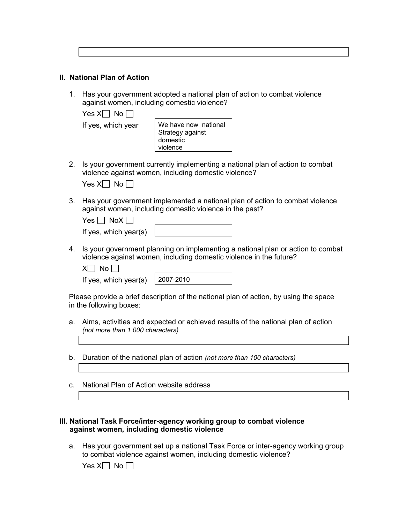| ,我们就会不会不会。""我们,我们不会不会不会不会,我们不会不会不会不会。""我们,我们不会不会不会不会。""我们,我们不会不会不会不会不会。""我们,我们不会 |  |  |
|----------------------------------------------------------------------------------|--|--|
|                                                                                  |  |  |
|                                                                                  |  |  |
|                                                                                  |  |  |
|                                                                                  |  |  |
|                                                                                  |  |  |
|                                                                                  |  |  |
|                                                                                  |  |  |

# **II. National Plan of Action**

1. Has your government adopted a national plan of action to combat violence against women, including domestic violence?

Yes  $X \cap N$ o  $\cap$ 

If yes, which year  $\vert$  We have now national Strategy against domestic violence

2. Is your government currently implementing a national plan of action to combat violence against women, including domestic violence?

3. Has your government implemented a national plan of action to combat violence against women, including domestic violence in the past?

| $Yes \mid NoX \mid$   |  |
|-----------------------|--|
| If yes, which year(s) |  |

4. Is your government planning on implementing a national plan or action to combat violence against women, including domestic violence in the future?

 $X \cap N$ o  $\cap$ 

If yes, which year(s)  $\vert$  2007-2010

Please provide a brief description of the national plan of action, by using the space in the following boxes:

- a. Aims, activities and expected or achieved results of the national plan of action *(not more than 1 000 characters)*
- b. Duration of the national plan of action *(not more than 100 characters)*
- c. National Plan of Action website address

#### **III. National Task Force/inter-agency working group to combat violence against women, including domestic violence**

a. Has your government set up a national Task Force or inter-agency working group to combat violence against women, including domestic violence?

Yes  $X \cap N$ o  $\cap$